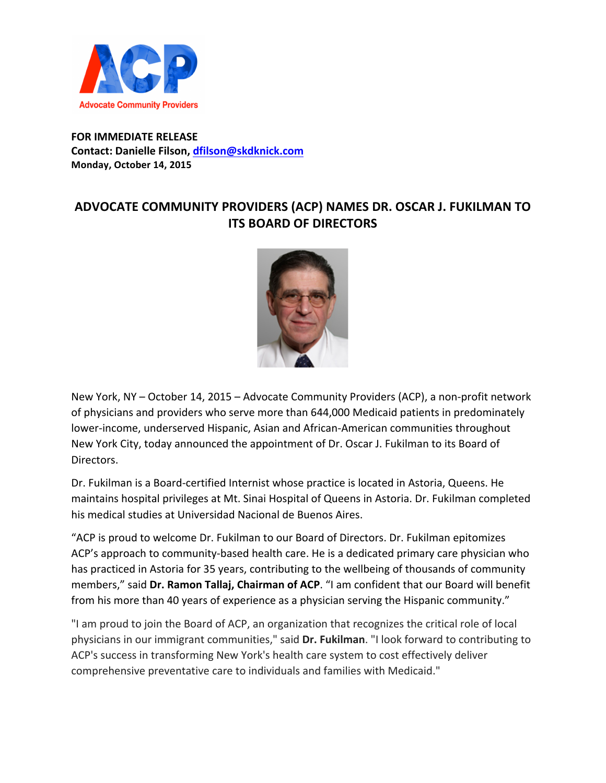

## **FOR IMMEDIATE RELEASE Contact: Danielle Filson, dfilson@skdknick.com Monday, October 14, 2015**

## **ADVOCATE COMMUNITY PROVIDERS (ACP) NAMES DR. OSCAR J. FUKILMAN TO ITS BOARD OF DIRECTORS**



New York, NY – October 14, 2015 – Advocate Community Providers (ACP), a non-profit network of physicians and providers who serve more than 644,000 Medicaid patients in predominately lower-income, underserved Hispanic, Asian and African-American communities throughout New York City, today announced the appointment of Dr. Oscar J. Fukilman to its Board of Directors. 

Dr. Fukilman is a Board-certified Internist whose practice is located in Astoria, Queens. He maintains hospital privileges at Mt. Sinai Hospital of Queens in Astoria. Dr. Fukilman completed his medical studies at Universidad Nacional de Buenos Aires.

"ACP is proud to welcome Dr. Fukilman to our Board of Directors. Dr. Fukilman epitomizes ACP's approach to community-based health care. He is a dedicated primary care physician who has practiced in Astoria for 35 years, contributing to the wellbeing of thousands of community members," said Dr. Ramon Tallaj, Chairman of ACP. "I am confident that our Board will benefit from his more than 40 years of experience as a physician serving the Hispanic community."

"I am proud to join the Board of ACP, an organization that recognizes the critical role of local physicians in our immigrant communities," said Dr. Fukilman. "I look forward to contributing to ACP's success in transforming New York's health care system to cost effectively deliver comprehensive preventative care to individuals and families with Medicaid."